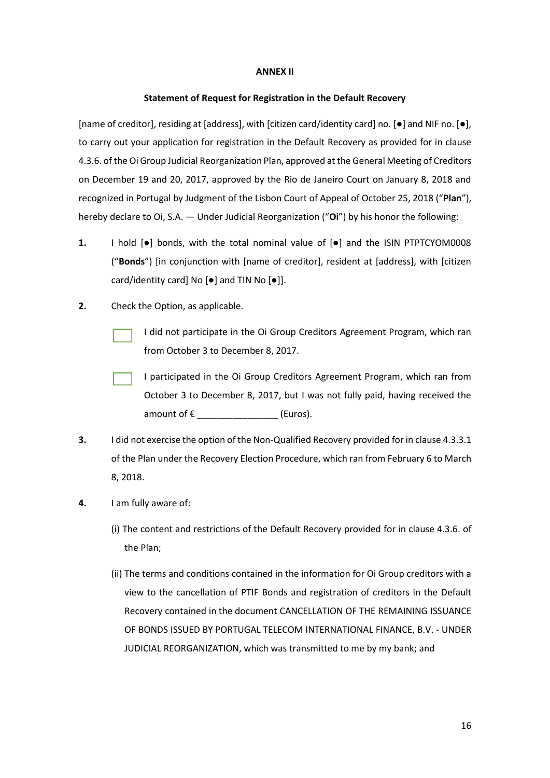## **ANNEX II**

## **Statement of Request for Registration in the Default Recovery**

[name of creditor], residing at [address], with [citizen card/identity card] no. [●] and NIF no. [●], to carry out your application for registration in the Default Recovery as provided for in clause 4.3.6. of the Oi Group Judicial Reorganization Plan, approved at the General Meeting of Creditors on December 19 and 20, 2017, approved by the Rio de Janeiro Court on January 8, 2018 and recognized in Portugal by Judgment of the Lisbon Court of Appeal of October 25, 2018 ("**Plan**"), hereby declare to Oi, S.A. — Under Judicial Reorganization ("**Oi**") by his honor the following:

- **1.** I hold  $\text{[} \bullet \text{]}$  bonds, with the total nominal value of  $\text{[} \bullet \text{]}$  and the ISIN PTPTCYOM0008 ("**Bonds**") [in conjunction with [name of creditor], resident at [address], with [citizen card/identity card] No [●] and TIN No [●]].
- **2.** Check the Option, as applicable.
	- I did not participate in the Oi Group Creditors Agreement Program, which ran from October 3 to December 8, 2017.
	- I participated in the Oi Group Creditors Agreement Program, which ran from October 3 to December 8, 2017, but I was not fully paid, having received the amount of  $\epsilon$  (Euros).
- **3.** I did not exercise the option of the Non-Qualified Recovery provided for in clause 4.3.3.1 of the Plan under the Recovery Election Procedure, which ran from February 6 to March 8, 2018.
- **4.** I am fully aware of:
	- (i) The content and restrictions of the Default Recovery provided for in clause 4.3.6. of the Plan;
	- (ii) The terms and conditions contained in the information for Oi Group creditors with a view to the cancellation of PTIF Bonds and registration of creditors in the Default Recovery contained in the document CANCELLATION OF THE REMAINING ISSUANCE OF BONDS ISSUED BY PORTUGAL TELECOM INTERNATIONAL FINANCE, B.V. - UNDER JUDICIAL REORGANIZATION, which was transmitted to me by my bank; and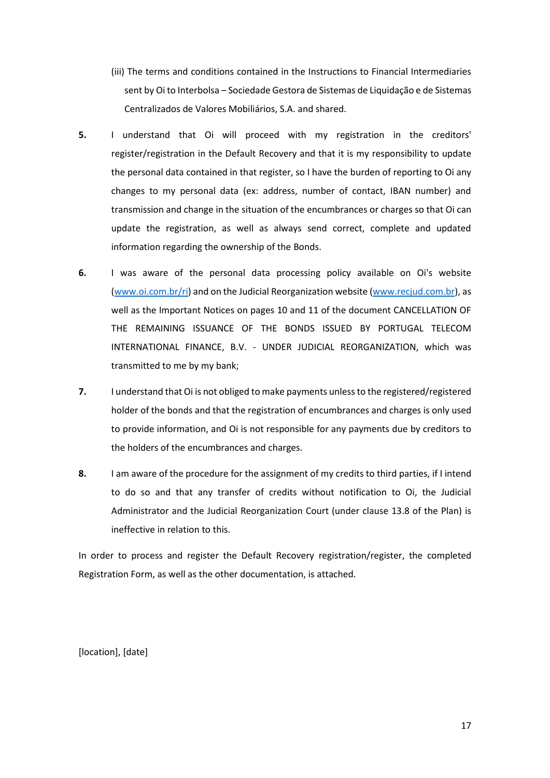- (iii) The terms and conditions contained in the Instructions to Financial Intermediaries sent by Oi to Interbolsa – Sociedade Gestora de Sistemas de Liquidação e de Sistemas Centralizados de Valores Mobiliários, S.A. and shared.
- **5.** I understand that Oi will proceed with my registration in the creditors' register/registration in the Default Recovery and that it is my responsibility to update the personal data contained in that register, so I have the burden of reporting to Oi any changes to my personal data (ex: address, number of contact, IBAN number) and transmission and change in the situation of the encumbrances or charges so that Oi can update the registration, as well as always send correct, complete and updated information regarding the ownership of the Bonds.
- **6.** I was aware of the personal data processing policy available on Oi's website [\(www.oi.com.br/ri\)](file:///C:/Users/oi321374/AppData/Local/Microsoft/Windows/INetCache/Content.Outlook/D6ODSXYJ/www.oi.com.br/ri) and on the Judicial Reorganization website [\(www.recjud.com.br\)](http://www.recjud.com.br/), as well as the Important Notices on pages 10 and 11 of the document CANCELLATION OF THE REMAINING ISSUANCE OF THE BONDS ISSUED BY PORTUGAL TELECOM INTERNATIONAL FINANCE, B.V. - UNDER JUDICIAL REORGANIZATION, which was transmitted to me by my bank;
- **7.** I understand that Oi is not obliged to make payments unless to the registered/registered holder of the bonds and that the registration of encumbrances and charges is only used to provide information, and Oi is not responsible for any payments due by creditors to the holders of the encumbrances and charges.
- **8.** I am aware of the procedure for the assignment of my credits to third parties, if I intend to do so and that any transfer of credits without notification to Oi, the Judicial Administrator and the Judicial Reorganization Court (under clause 13.8 of the Plan) is ineffective in relation to this.

In order to process and register the Default Recovery registration/register, the completed Registration Form, as well as the other documentation, is attached.

[location], [date]